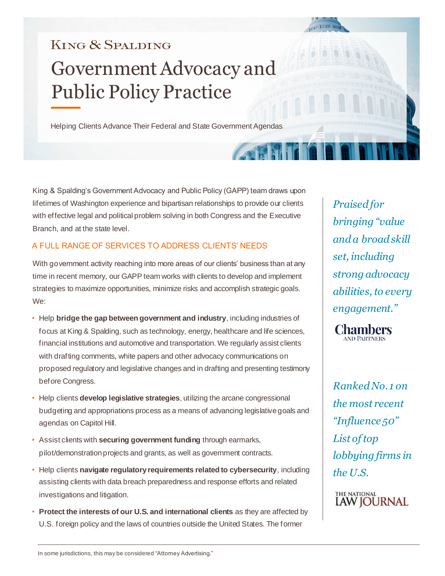# **KING & SPALDING** Government Advocacy and Public Policy Practice

Helping Clients Advance Their Federal and State Government Agendas

King & Spalding's Government Advocacy and Public Policy (GAPP) team draws upon lifetimes of Washington experience and bipartisan relationships to provide our clients with effective legal and political problem solving in both Congress and the Executive Branch, and at the state level.

### A FULL RANGE OF SERVICES TO ADDRESS CLIENTS' NEEDS

With government activity reaching into more areas of our clients' business than at any time in recent memory, our GAPP team works with clients to develop and implement strategies to maximize opportunities, minimize risks and accomplish strategic goals. We:

- Help **bridge the gap between government and industry**, including industries of focus at King & Spalding, such as technology, energy, healthcare and life sciences, financial institutions and automotive and transportation. We regularly assist clients with drafting comments, white papers and other advocacy communications on proposed regulatory and legislative changes and in drafting and presenting testimony before Congress.
- Help clients **develop legislative strategies**, utilizing the arcane congressional budgeting and appropriations process as a means of advancing legislative goals and agendas on Capitol Hill.
- Assist clients with **securing government funding** through earmarks, pilot/demonstration projects and grants, as well as government contracts.
- Help clients **navigate regulatory requirements related to cybersecurity**, including assisting clients with data breach preparedness and response efforts and related investigations and litigation.
- **Protect the interests of our U.S. and international clients** as they are affected by U.S. foreign policy and the laws of countries outside the United States. The former

*Praised for bringing "value and a broad skill set, including strong advocacy abilities, to every engagement."*

on the s

**Chambers** 

*Ranked No. 1 on the most recent "Influence 50" List of top lobbying firms in the U.S.*

THE NATIONAL **LAW JOURNAL**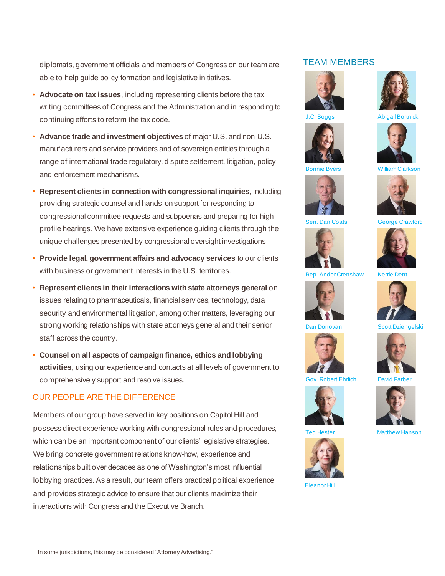diplomats, government officials and members of Congress on our team are able to help guide policy formation and legislative initiatives.

- **Advocate on tax issues**, including representing clients before the tax writing committees of Congress and the Administration and in responding to continuing efforts to reform the tax code.
- **Advance trade and investment objectives** of major U.S. and non-U.S. manufacturers and service providers and of sovereign entities through a range of international trade regulatory, dispute settlement, litigation, policy and enforcement mechanisms.
- **Represent clients in connection with congressional inquiries**, including providing strategic counsel and hands-on support for responding to congressional committee requests and subpoenas and preparing for highprofile hearings. We have extensive experience guiding clients through the unique challenges presented by congressional oversight investigations.
- **Provide legal, government affairs and advocacy services** to our clients with business or government interests in the U.S. territories.
- **Represent clients in their interactions with state attorneys general** on issues relating to pharmaceuticals, financial services, technology, data security and environmental litigation, among other matters, leveraging our strong working relationships with state attorneys general and their senior staff across the country.
- **Counsel on all aspects of campaign finance, ethics and lobbying activities**, using our experience and contacts at all levels of government to comprehensively support and resolve issues.

## OUR PEOPLE ARE THE DIFFERENCE

Members of our group have served in key positions on Capitol Hill and possess direct experience working with congressional rules and procedures, which can be an important component of our clients' legislative strategies. We bring concrete government relations know-how, experience and relationships built over decades as one of Washington's most influential lobbying practices. As a result, our team offers practical political experience and provides strategic advice to ensure that our clients maximize their interactions with Congress and the Executive Branch.

#### TEAM MEMBERS





J.C. Boggs Abigail Bortnick





Bonnie Byers William Clarkson



Sen. Dan Coats George Crawford





Ander Crenshaw Kerrie Dent



Dan Donovan Scott Dziengelski





Gov. Robert Ehrlich





Eleanor Hill



Ted Hester Matthew Hanson

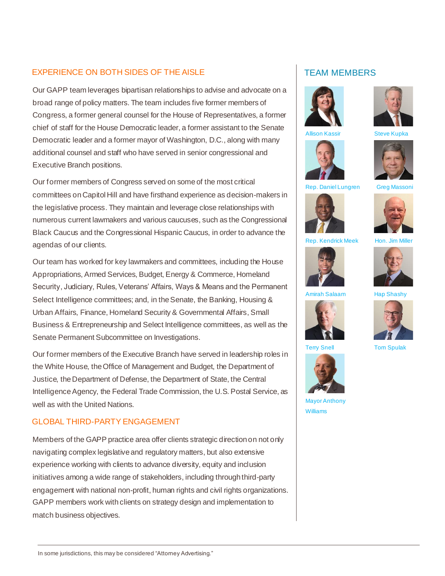#### EXPERIENCE ON BOTH SIDES OF THE AISLE

Our GAPP team leverages bipartisan relationships to advise and advocate on a broad range of policy matters. The team includes five former members of Congress, a former general counsel for the House of Representatives, a former chief of staff for the House Democratic leader, a former assistant to the Senate Democratic leader and a former mayor of Washington, D.C., along with many additional counsel and staff who have served in senior congressional and Executive Branch positions.

Our former members of Congress served on some of the most critical committees on Capitol Hill and have firsthand experience as decision-makers in the legislative process. They maintain and leverage close relationships with numerous current lawmakers and various caucuses, such as the Congressional Black Caucus and the Congressional Hispanic Caucus, in order to advance the agendas of our clients.

Our team has worked for key lawmakers and committees, including the House Appropriations, Armed Services, Budget, Energy & Commerce, Homeland Security, Judiciary, Rules, Veterans' Affairs, Ways & Means and the Permanent Select Intelligence committees; and, in the Senate, the Banking, Housing & Urban Affairs, Finance, Homeland Security & Governmental Affairs, Small Business & Entrepreneurship and Select Intelligence committees, as well as the Senate Permanent Subcommittee on Investigations.

Our former members of the Executive Branch have served in leadership roles in the White House, the Office of Management and Budget, the Department of Justice, the Department of Defense, the Department of State, the Central Intelligence Agency, the Federal Trade Commission, the U.S. Postal Service, as well as with the United Nations.

#### GLOBAL THIRD-PARTY ENGAGEMENT

Members of the GAPP practice area offer clients strategic direction on not only navigating complex legislative and regulatory matters, but also extensive experience working with clients to advance diversity, equity and inclusion initiatives among a wide range of stakeholders, including through third-party engagement with national non-profit, human rights and civil rights organizations. GAPP members work with clients on strategy design and implementation to match business objectives.

#### TEAM MEMBERS







Allison Kassir Steve Kupka



Rep. Daniel Lungren Greg Massoni







Rep. Kendrick Meek

Amirah Salaam Hap Shashy





Terry Snell **Tom Spulak** 



Mayor Anthony Williams